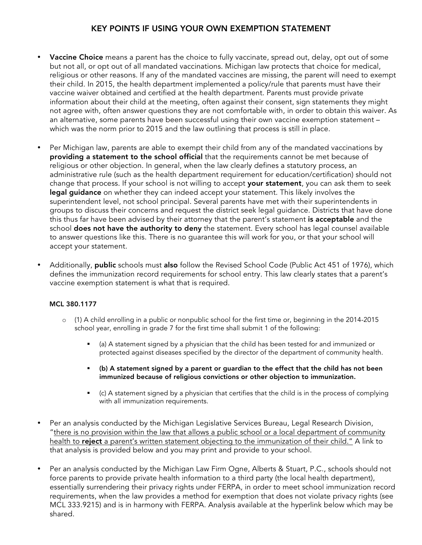### KEY POINTS IF USING YOUR OWN EXEMPTION STATEMENT

- Vaccine Choice means a parent has the choice to fully vaccinate, spread out, delay, opt out of some but not all, or opt out of all mandated vaccinations. Michigan law protects that choice for medical, religious or other reasons. If any of the mandated vaccines are missing, the parent will need to exempt their child. In 2015, the health department implemented a policy/rule that parents must have their vaccine waiver obtained and certified at the health department. Parents must provide private information about their child at the meeting, often against their consent, sign statements they might not agree with, often answer questions they are not comfortable with, in order to obtain this waiver. As an alternative, some parents have been successful using their own vaccine exemption statement – which was the norm prior to 2015 and the law outlining that process is still in place.
- Per Michigan law, parents are able to exempt their child from any of the mandated vaccinations by providing a statement to the school official that the requirements cannot be met because of religious or other objection. In general, when the law clearly defines a statutory process, an administrative rule (such as the health department requirement for education/certification) should not change that process. If your school is not willing to accept your statement, you can ask them to seek legal guidance on whether they can indeed accept your statement. This likely involves the superintendent level, not school principal. Several parents have met with their superintendents in groups to discuss their concerns and request the district seek legal guidance. Districts that have done this thus far have been advised by their attorney that the parent's statement is acceptable and the school **does not have the authority to deny** the statement. Every school has legal counsel available to answer questions like this. There is no guarantee this will work for you, or that your school will accept your statement.
- Additionally, public schools must also follow the Revised School Code (Public Act 451 of 1976), which defines the immunization record requirements for school entry. This law clearly states that a parent's vaccine exemption statement is what that is required.

### MCL 380.1177

- $\circ$  (1) A child enrolling in a public or nonpublic school for the first time or, beginning in the 2014-2015 school year, enrolling in grade 7 for the first time shall submit 1 of the following:
	- § (a) A statement signed by a physician that the child has been tested for and immunized or protected against diseases specified by the director of the department of community health.
	- § (b) A statement signed by a parent or guardian to the effect that the child has not been immunized because of religious convictions or other objection to immunization.
	- § (c) A statement signed by a physician that certifies that the child is in the process of complying with all immunization requirements.
- Per an analysis conducted by the Michigan Legislative Services Bureau, Legal Research Division, "there is no provision within the law that allows a public school or a local department of community health to reject a parent's written statement objecting to the immunization of their child." A link to that analysis is provided below and you may print and provide to your school.
- Per an analysis conducted by the Michigan Law Firm Ogne, Alberts & Stuart, P.C., schools should not force parents to provide private health information to a third party (the local health department), essentially surrendering their privacy rights under FERPA, in order to meet school immunization record requirements, when the law provides a method for exemption that does not violate privacy rights (see MCL 333.9215) and is in harmony with FERPA. Analysis available at the hyperlink below which may be shared.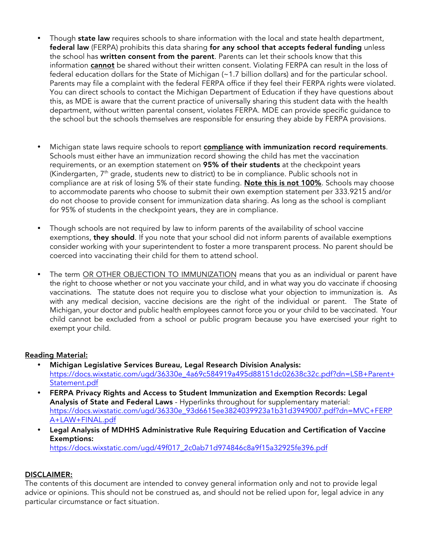- Though state law requires schools to share information with the local and state health department, federal law (FERPA) prohibits this data sharing for any school that accepts federal funding unless the school has written consent from the parent. Parents can let their schools know that this information cannot be shared without their written consent. Violating FERPA can result in the loss of federal education dollars for the State of Michigan (~1.7 billion dollars) and for the particular school. Parents may file a complaint with the federal FERPA office if they feel their FERPA rights were violated. You can direct schools to contact the Michigan Department of Education if they have questions about this, as MDE is aware that the current practice of universally sharing this student data with the health department, without written parental consent, violates FERPA. MDE can provide specific guidance to the school but the schools themselves are responsible for ensuring they abide by FERPA provisions.
- Michigan state laws require schools to report compliance with immunization record requirements. Schools must either have an immunization record showing the child has met the vaccination requirements, or an exemption statement on 95% of their students at the checkpoint years (Kindergarten,  $7<sup>th</sup>$  grade, students new to district) to be in compliance. Public schools not in compliance are at risk of losing 5% of their state funding. Note this is not 100%. Schools may choose to accommodate parents who choose to submit their own exemption statement per 333.9215 and/or do not choose to provide consent for immunization data sharing. As long as the school is compliant for 95% of students in the checkpoint years, they are in compliance.
- Though schools are not required by law to inform parents of the availability of school vaccine exemptions, they should. If you note that your school did not inform parents of available exemptions consider working with your superintendent to foster a more transparent process. No parent should be coerced into vaccinating their child for them to attend school.
- The term OR OTHER OBJECTION TO IMMUNIZATION means that you as an individual or parent have the right to choose whether or not you vaccinate your child, and in what way you do vaccinate if choosing vaccinations. The statute does not require you to disclose what your objection to immunization is. As with any medical decision, vaccine decisions are the right of the individual or parent. The State of Michigan, your doctor and public health employees cannot force you or your child to be vaccinated. Your child cannot be excluded from a school or public program because you have exercised your right to exempt your child.

### Reading Material:

- Michigan Legislative Services Bureau, Legal Research Division Analysis: https://docs.wixstatic.com/ugd/36330e\_4a69c584919a495d88151dc02638c32c.pdf?dn=LSB+Parent+ Statement.pdf
- FERPA Privacy Rights and Access to Student Immunization and Exemption Records: Legal Analysis of State and Federal Laws - Hyperlinks throughout for supplementary material: https://docs.wixstatic.com/ugd/36330e\_93d6615ee3824039923a1b31d3949007.pdf?dn=MVC+FERP A+LAW+FINAL.pdf
- Legal Analysis of MDHHS Administrative Rule Requiring Education and Certification of Vaccine Exemptions:

https://docs.wixstatic.com/ugd/49f017\_2c0ab71d974846c8a9f15a32925fe396.pdf

### DISCLAIMER:

The contents of this document are intended to convey general information only and not to provide legal advice or opinions. This should not be construed as, and should not be relied upon for, legal advice in any particular circumstance or fact situation.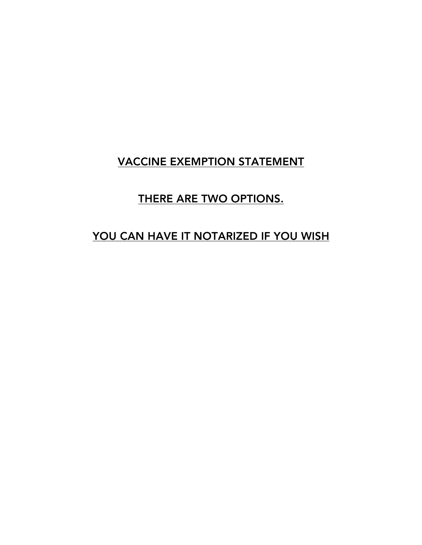# VACCINE EXEMPTION STATEMENT

# THERE ARE TWO OPTIONS.

# YOU CAN HAVE IT NOTARIZED IF YOU WISH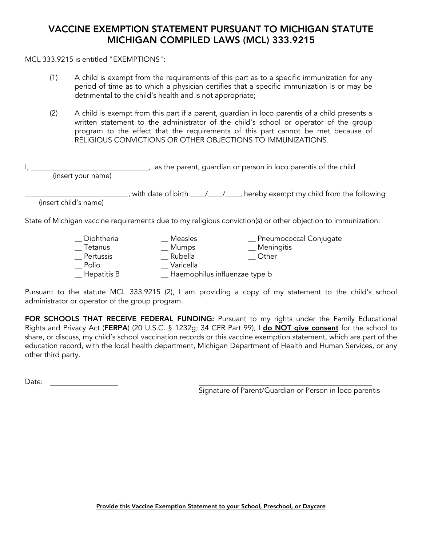### VACCINE EXEMPTION STATEMENT PURSUANT TO MICHIGAN STATUTE MICHIGAN COMPILED LAWS (MCL) 333.9215

MCL 333.9215 is entitled "EXEMPTIONS":

- (1) A child is exempt from the requirements of this part as to a specific immunization for any period of time as to which a physician certifies that a specific immunization is or may be detrimental to the child's health and is not appropriate;
- (2) A child is exempt from this part if a parent, guardian in loco parentis of a child presents a written statement to the administrator of the child's school or operator of the group program to the effect that the requirements of this part cannot be met because of RELIGIOUS CONVICTIONS OR OTHER OBJECTIONS TO IMMUNIZATIONS.

| (insert your name)    | as the parent, guardian or person in loco parentis of the child                                              |
|-----------------------|--------------------------------------------------------------------------------------------------------------|
| (insert child's name) | with date of birth ____/____/____, hereby exempt my child from the following                                 |
|                       | State of Michigan vaccine requirements due to my religious conviction(s) or other objection to immunization: |

| $\_$ Diphtheria | Measles                       | Pneumococcal Conjugate |
|-----------------|-------------------------------|------------------------|
| Tetanus         | <b>Mumps</b>                  | _ Meningitis           |
| Pertussis       | Rubella                       | Other                  |
| Polio           | Varicella                     |                        |
| Hepatitis B     | Haemophilus influenzae type b |                        |

Pursuant to the statute MCL 333.9215 (2), I am providing a copy of my statement to the child's school administrator or operator of the group program.

FOR SCHOOLS THAT RECEIVE FEDERAL FUNDING: Pursuant to my rights under the Family Educational Rights and Privacy Act (FERPA) (20 U.S.C. § 1232g; 34 CFR Part 99), I do NOT give consent for the school to share, or discuss, my child's school vaccination records or this vaccine exemption statement, which are part of the education record, with the local health department, Michigan Department of Health and Human Services, or any other third party.

Date: **Date:** 

Signature of Parent/Guardian or Person in loco parentis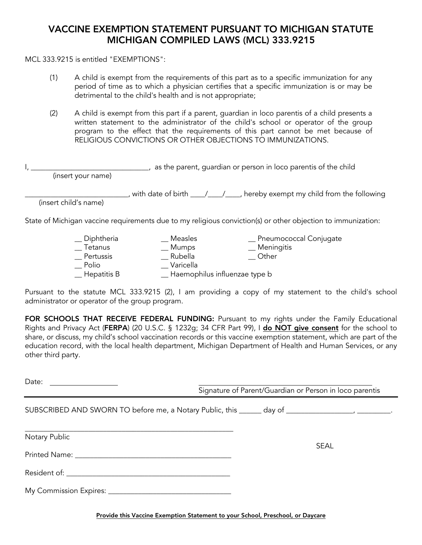### VACCINE EXEMPTION STATEMENT PURSUANT TO MICHIGAN STATUTE MICHIGAN COMPILED LAWS (MCL) 333.9215

MCL 333.9215 is entitled "EXEMPTIONS":

- (1) A child is exempt from the requirements of this part as to a specific immunization for any period of time as to which a physician certifies that a specific immunization is or may be detrimental to the child's health and is not appropriate;
- (2) A child is exempt from this part if a parent, guardian in loco parentis of a child presents a written statement to the administrator of the child's school or operator of the group program to the effect that the requirements of this part cannot be met because of RELIGIOUS CONVICTIONS OR OTHER OBJECTIONS TO IMMUNIZATIONS.

| (insert your name)    | as the parent, guardian or person in loco parentis of the child                                              |  |
|-----------------------|--------------------------------------------------------------------------------------------------------------|--|
| (insert child's name) | with date of birth ____/____/____, hereby exempt my child from the following                                 |  |
|                       | State of Michigan vaccine requirements due to my religious conviction(s) or other objection to immunization: |  |

| _ Diphtheria         | Measles                         | _ Pneumococcal Conjugate |
|----------------------|---------------------------------|--------------------------|
| Tetanus              | __ Mumps                        | <sub>—</sub> Meningitis  |
| Pertussis            | Rubella                         | Other                    |
| Polio                | Varicella                       |                          |
| $\equiv$ Hepatitis B | _ Haemophilus influenzae type b |                          |

Pursuant to the statute MCL 333.9215 (2), I am providing a copy of my statement to the child's school administrator or operator of the group program.

FOR SCHOOLS THAT RECEIVE FEDERAL FUNDING: Pursuant to my rights under the Family Educational Rights and Privacy Act (FERPA) (20 U.S.C. § 1232g; 34 CFR Part 99), I do NOT give consent for the school to share, or discuss, my child's school vaccination records or this vaccine exemption statement, which are part of the education record, with the local health department, Michigan Department of Health and Human Services, or any other third party.

Date: **Date:** 

Signature of Parent/Guardian or Person in loco parentis

SUBSCRIBED AND SWORN TO before me, a Notary Public, this day of the state of the state of the state of the state of the state of the state of the state of the state of the state of the state of the state of the state of th

Notary Public

Printed Name: \_\_\_\_\_\_\_\_\_\_\_\_\_\_\_\_\_\_\_\_\_\_\_\_\_\_\_\_\_\_\_\_\_\_\_\_\_\_\_\_\_\_

\_\_\_\_\_\_\_\_\_\_\_\_\_\_\_\_\_\_\_\_\_\_\_\_\_\_\_\_\_\_\_\_\_\_\_\_\_\_\_\_\_\_\_\_\_\_\_\_\_\_\_\_\_\_\_\_

Resident of:  $\blacksquare$ 

My Commission Expires: \_\_\_\_\_\_\_\_\_\_\_\_\_\_\_\_\_\_\_\_\_\_\_\_\_\_\_\_\_\_\_\_\_

Provide this Vaccine Exemption Statement to your School, Preschool, or Daycare

SEAL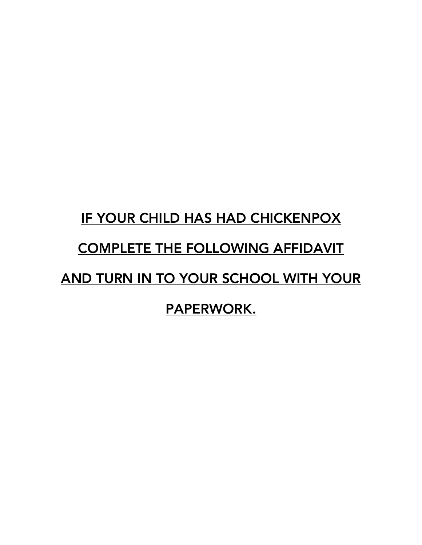# IF YOUR CHILD HAS HAD CHICKENPOX COMPLETE THE FOLLOWING AFFIDAVIT AND TURN IN TO YOUR SCHOOL WITH YOUR PAPERWORK.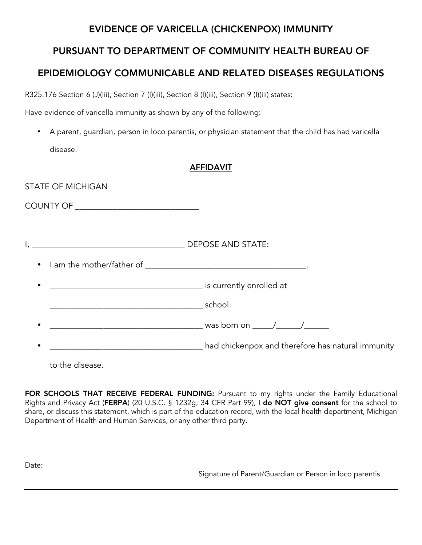### EVIDENCE OF VARICELLA (CHICKENPOX) IMMUNITY

# PURSUANT TO DEPARTMENT OF COMMUNITY HEALTH BUREAU OF

# EPIDEMIOLOGY COMMUNICABLE AND RELATED DISEASES REGULATIONS

R325.176 Section 6 (J)(iii), Section 7 (I)(iii), Section 8 (I)(iii), Section 9 (I)(iii) states:

Have evidence of varicella immunity as shown by any of the following:

• A parent, guardian, person in loco parentis, or physician statement that the child has had varicella disease.

### AFFIDAVIT

| <b>STATE OF MICHIGAN</b>      |                                                   |
|-------------------------------|---------------------------------------------------|
|                               |                                                   |
|                               |                                                   |
|                               |                                                   |
| $\underbrace{\hspace{2.5cm}}$ |                                                   |
|                               |                                                   |
|                               | had chickenpox and therefore has natural immunity |

to the disease.

FOR SCHOOLS THAT RECEIVE FEDERAL FUNDING: Pursuant to my rights under the Family Educational Rights and Privacy Act (FERPA) (20 U.S.C. § 1232g; 34 CFR Part 99), I do NOT give consent for the school to share, or discuss this statement, which is part of the education record, with the local health department, Michigan Department of Health and Human Services, or any other third party.

Date: **Date: Date: Date: Date: Date: Date: Date: Date: Date: Date: Date: Date: Date: Date: Date: Date: Date: Date: Date: Date: Date: Date: Date: Date: Date: Date: Date:**

Signature of Parent/Guardian or Person in loco parentis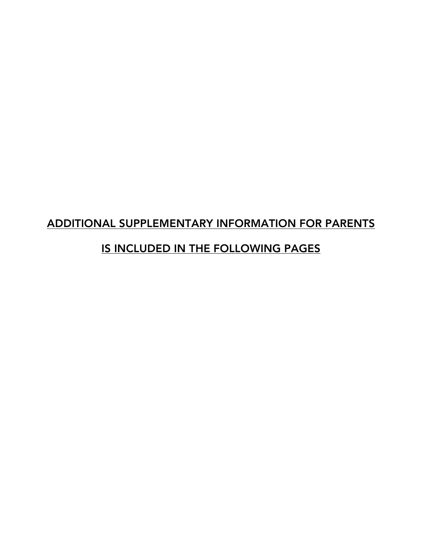# ADDITIONAL SUPPLEMENTARY INFORMATION FOR PARENTS

# IS INCLUDED IN THE FOLLOWING PAGES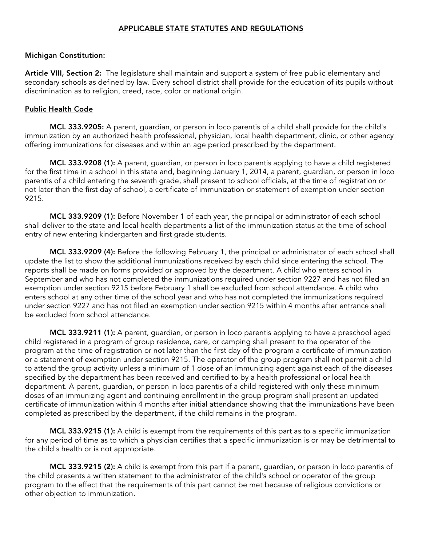### APPLICABLE STATE STATUTES AND REGULATIONS

### Michigan Constitution:

Article VIII, Section 2: The legislature shall maintain and support a system of free public elementary and secondary schools as defined by law. Every school district shall provide for the education of its pupils without discrimination as to religion, creed, race, color or national origin.

### Public Health Code

MCL 333.9205: A parent, guardian, or person in loco parentis of a child shall provide for the child's immunization by an authorized health professional, physician, local health department, clinic, or other agency offering immunizations for diseases and within an age period prescribed by the department.

MCL 333.9208 (1): A parent, guardian, or person in loco parentis applying to have a child registered for the first time in a school in this state and, beginning January 1, 2014, a parent, guardian, or person in loco parentis of a child entering the seventh grade, shall present to school officials, at the time of registration or not later than the first day of school, a certificate of immunization or statement of exemption under section 9215.

MCL 333.9209 (1): Before November 1 of each year, the principal or administrator of each school shall deliver to the state and local health departments a list of the immunization status at the time of school entry of new entering kindergarten and first grade students.

MCL 333.9209 (4): Before the following February 1, the principal or administrator of each school shall update the list to show the additional immunizations received by each child since entering the school. The reports shall be made on forms provided or approved by the department. A child who enters school in September and who has not completed the immunizations required under section 9227 and has not filed an exemption under section 9215 before February 1 shall be excluded from school attendance. A child who enters school at any other time of the school year and who has not completed the immunizations required under section 9227 and has not filed an exemption under section 9215 within 4 months after entrance shall be excluded from school attendance.

MCL 333.9211 (1): A parent, guardian, or person in loco parentis applying to have a preschool aged child registered in a program of group residence, care, or camping shall present to the operator of the program at the time of registration or not later than the first day of the program a certificate of immunization or a statement of exemption under section 9215. The operator of the group program shall not permit a child to attend the group activity unless a minimum of 1 dose of an immunizing agent against each of the diseases specified by the department has been received and certified to by a health professional or local health department. A parent, guardian, or person in loco parentis of a child registered with only these minimum doses of an immunizing agent and continuing enrollment in the group program shall present an updated certificate of immunization within 4 months after initial attendance showing that the immunizations have been completed as prescribed by the department, if the child remains in the program.

MCL 333.9215 (1): A child is exempt from the requirements of this part as to a specific immunization for any period of time as to which a physician certifies that a specific immunization is or may be detrimental to the child's health or is not appropriate.

MCL 333.9215 (2): A child is exempt from this part if a parent, guardian, or person in loco parentis of the child presents a written statement to the administrator of the child's school or operator of the group program to the effect that the requirements of this part cannot be met because of religious convictions or other objection to immunization.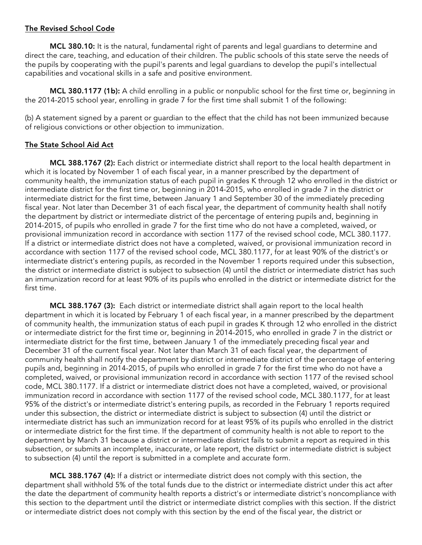### The Revised School Code

MCL 380.10: It is the natural, fundamental right of parents and legal guardians to determine and direct the care, teaching, and education of their children. The public schools of this state serve the needs of the pupils by cooperating with the pupil's parents and legal guardians to develop the pupil's intellectual capabilities and vocational skills in a safe and positive environment.

MCL 380.1177 (1b): A child enrolling in a public or nonpublic school for the first time or, beginning in the 2014-2015 school year, enrolling in grade 7 for the first time shall submit 1 of the following:

(b) A statement signed by a parent or guardian to the effect that the child has not been immunized because of religious convictions or other objection to immunization.

### The State School Aid Act

MCL 388.1767 (2): Each district or intermediate district shall report to the local health department in which it is located by November 1 of each fiscal year, in a manner prescribed by the department of community health, the immunization status of each pupil in grades K through 12 who enrolled in the district or intermediate district for the first time or, beginning in 2014-2015, who enrolled in grade 7 in the district or intermediate district for the first time, between January 1 and September 30 of the immediately preceding fiscal year. Not later than December 31 of each fiscal year, the department of community health shall notify the department by district or intermediate district of the percentage of entering pupils and, beginning in 2014-2015, of pupils who enrolled in grade 7 for the first time who do not have a completed, waived, or provisional immunization record in accordance with section 1177 of the revised school code, MCL 380.1177. If a district or intermediate district does not have a completed, waived, or provisional immunization record in accordance with section 1177 of the revised school code, MCL 380.1177, for at least 90% of the district's or intermediate district's entering pupils, as recorded in the November 1 reports required under this subsection, the district or intermediate district is subject to subsection (4) until the district or intermediate district has such an immunization record for at least 90% of its pupils who enrolled in the district or intermediate district for the first time.

MCL 388.1767 (3): Each district or intermediate district shall again report to the local health department in which it is located by February 1 of each fiscal year, in a manner prescribed by the department of community health, the immunization status of each pupil in grades K through 12 who enrolled in the district or intermediate district for the first time or, beginning in 2014-2015, who enrolled in grade 7 in the district or intermediate district for the first time, between January 1 of the immediately preceding fiscal year and December 31 of the current fiscal year. Not later than March 31 of each fiscal year, the department of community health shall notify the department by district or intermediate district of the percentage of entering pupils and, beginning in 2014-2015, of pupils who enrolled in grade 7 for the first time who do not have a completed, waived, or provisional immunization record in accordance with section 1177 of the revised school code, MCL 380.1177. If a district or intermediate district does not have a completed, waived, or provisional immunization record in accordance with section 1177 of the revised school code, MCL 380.1177, for at least 95% of the district's or intermediate district's entering pupils, as recorded in the February 1 reports required under this subsection, the district or intermediate district is subject to subsection (4) until the district or intermediate district has such an immunization record for at least 95% of its pupils who enrolled in the district or intermediate district for the first time. If the department of community health is not able to report to the department by March 31 because a district or intermediate district fails to submit a report as required in this subsection, or submits an incomplete, inaccurate, or late report, the district or intermediate district is subject to subsection (4) until the report is submitted in a complete and accurate form.

MCL 388.1767 (4): If a district or intermediate district does not comply with this section, the department shall withhold 5% of the total funds due to the district or intermediate district under this act after the date the department of community health reports a district's or intermediate district's noncompliance with this section to the department until the district or intermediate district complies with this section. If the district or intermediate district does not comply with this section by the end of the fiscal year, the district or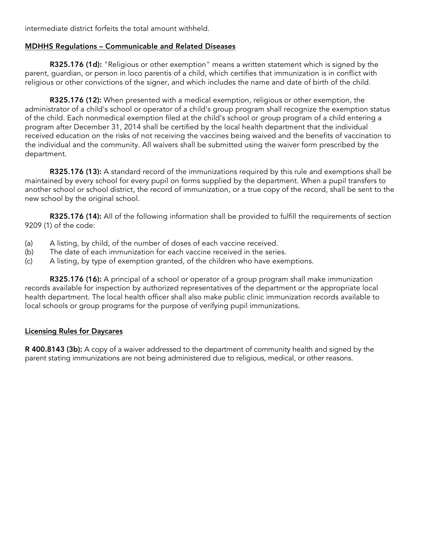intermediate district forfeits the total amount withheld.

### MDHHS Regulations – Communicable and Related Diseases

R325.176 (1d): "Religious or other exemption" means a written statement which is signed by the parent, guardian, or person in loco parentis of a child, which certifies that immunization is in conflict with religious or other convictions of the signer, and which includes the name and date of birth of the child.

R325.176 (12): When presented with a medical exemption, religious or other exemption, the administrator of a child's school or operator of a child's group program shall recognize the exemption status of the child. Each nonmedical exemption filed at the child's school or group program of a child entering a program after December 31, 2014 shall be certified by the local health department that the individual received education on the risks of not receiving the vaccines being waived and the benefits of vaccination to the individual and the community. All waivers shall be submitted using the waiver form prescribed by the department.

R325.176 (13): A standard record of the immunizations required by this rule and exemptions shall be maintained by every school for every pupil on forms supplied by the department. When a pupil transfers to another school or school district, the record of immunization, or a true copy of the record, shall be sent to the new school by the original school.

R325.176 (14): All of the following information shall be provided to fulfill the requirements of section 9209 (1) of the code:

- (a) A listing, by child, of the number of doses of each vaccine received.
- (b) The date of each immunization for each vaccine received in the series.
- (c) A listing, by type of exemption granted, of the children who have exemptions.

R325.176 (16): A principal of a school or operator of a group program shall make immunization records available for inspection by authorized representatives of the department or the appropriate local health department. The local health officer shall also make public clinic immunization records available to local schools or group programs for the purpose of verifying pupil immunizations.

### Licensing Rules for Daycares

R 400.8143 (3b): A copy of a waiver addressed to the department of community health and signed by the parent stating immunizations are not being administered due to religious, medical, or other reasons.